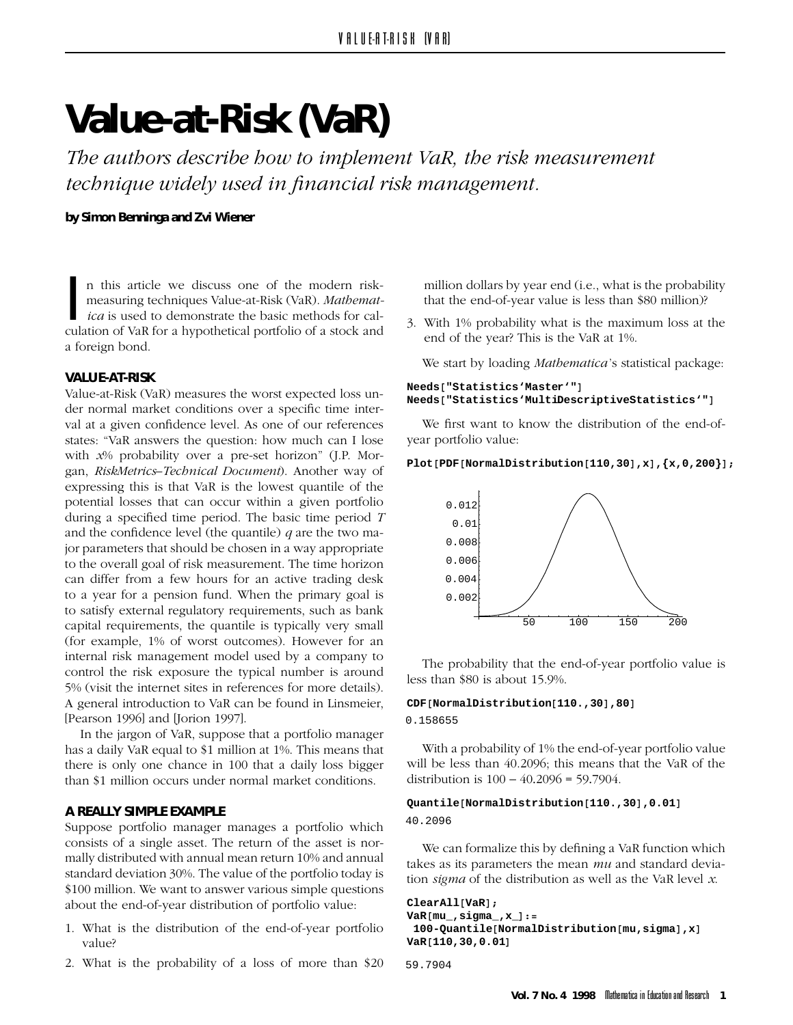# **Value-at-Risk (VaR)**

*The technique widely used in financial risk management. technique widely used in financial risk management.*

**by Simon Benninga and Zvi Wiener**

**In the basic methods for a hypothetical portfolio of a stock and<br>a foreign bond.<br>VALUE-AT-RISK** n this article we discuss one of the modern risk-<br>measuring techniques Value-at-Risk (VaR). *Mathemat*ica is used to demonstrate the basic methods for cal- $\frac{1}{2}$  for a for a hypothetical portfolio of a stock and a stock and a stock and a stock and a stock and a stock and a stock and a stock and a stock and a stock and a stock and a stock and a stock and a stock and a sto a foreign bond.

**VALUE-AT-RISK** der normal market conditions over a specific time interval at a given confidence level. As one of our references states: "VaR answers the question: how much can I lose with  $x\%$  probability over a pre-set horizon" (J.P. Morgan, *RiskMetrics-Technical Document*). Another way of expressing this is that VaR is the lowest quantile of the potential losses that can occur within a given portfolio during a specified time period. The basic time period  $T$ and the confidence level (the quantile)  $q$  are the two major parameters that should be chosen in a way appropriate to the overall goal of risk measurement. The time horizon can differ from a few hours for an active trading desk to a year for a pension fund. When the primary goal is to satisfy external regulatory requirements, such as bank capital requirements, the quantile is typically very small (for example, 1% of worst outcomes). However for an internal risk management model used by a company to control the risk exposure the typical number is around 5% (visit the internet sites in references for more details). A general introduction to VaR can be found in Linsmeier, [Pearson 1996] and [Jorion 1997].

In the jargon of VaR, suppose that a portfolio manager has a daily VaR equal to \$1 million at 1%. This means that there is only one chance in 100 that a daily loss bigger than \$1 million occurs under normal market conditions. than \$1 million occurs under normal market conditions.

**A REALLY SIMPLE EXAMPLE** consists of a single asset. The return of the asset is normally distributed with annual mean return 10% and annual standard deviation 30%. The value of the portfolio today is \$100 million. We want to answer various simple questions <sup>1</sup> 100 million. We want to answer various simple questions about the end-of-year distribution of portfolio value:

- 1. What is the distribution of the end-of-year portfolio
- 2. What is the probability of a loss of more than \$20  $2.$  What is the probability of a loss of more than  $20$

million dollars by year end (i.e., what is the probability that the end-of-year value is less than \$80 million)?  $t_{\rm max}$  and  $t_{\rm max}$  of year value is less than \$80 million)?

 $\frac{1}{2}$  and of the vear? This is the VaR at 1% end of the year  $\frac{1}{2}$ 

We start by loading *Mathematica* 's statistical package:

# **Needs["Statistics'Master'"] Needs["Statistics'MultiDescriptiveStatistics'"]**

We first want to know the distribution of the end-ofyear portfolio value:

### **Plot[PDF[NormalDistribution[110,30],x],{x,0,200}];**



The probability that the end-of-year portfolio value is less than \$80 is about 15.9%.  $\frac{1}{2}$ 

# **CDF[NormalDistribution[110.,30],80]**

0.158655

With a probability of 1% the end-of-year portfolio value<br>will be less than 40.2096; this means that the VaR of the distribution is  $100 - 40.2096 = 59.7904$ .

# **Quantile[NormalDistribution[110.,30],0.01]** 40.2096

We can formalize this by defining a VaR function which takes as its parameters the mean  $mu$  and standard deviation *sigma* of the distribution as well as the VaR level  $\alpha$ tion *sigma* of the distribution as well as the VaR level *x*.

```
ClearAll[VaR];
VaR[mu_,sigma_,x_]:=
100-Quantile[NormalDistribution[mu,sigma],x]
VaR[110,30,0.01]
```

```
59.7904
```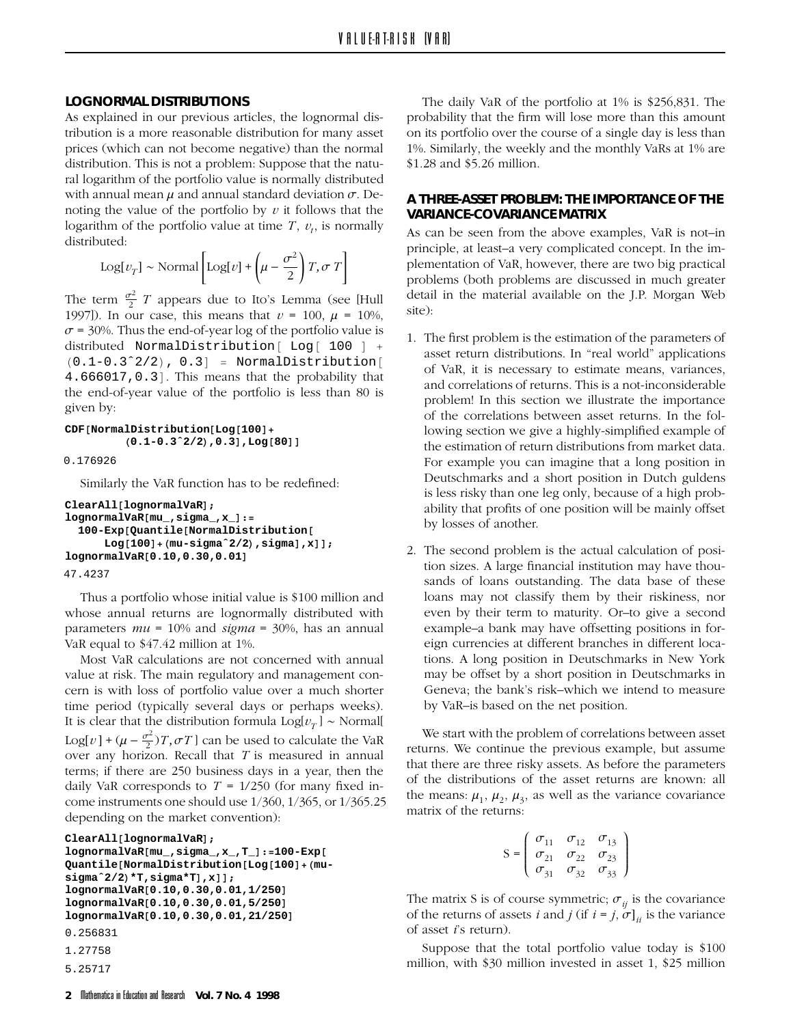**LOGNORMAL DISTRIBUTIONS** tribution is a more reasonable distribution for many asset prices (which can not become negative) than the normal distribution. This is not a problem: Suppose that the natural logarithm of the portfolio value is normally distributed with annual mean  $\mu$  and annual standard deviation  $\sigma$ . Denoting the value of the portfolio by  $v$  it follows that the noting the value of the pointing by *v v* is the the the locality of the portfolio value at time *T v* is normally logarithm of the portfolio value at time *T* , *vt* , is normally

$$
Log[v_T] \sim \text{Normal}\left[Log[v] + \left(\mu - \frac{\sigma^2}{2}\right)T, \sigma T\right]
$$

The term  $\frac{\sigma^2}{2}$  *T* appears due to Ito's Lemma (see [Hull 1997]). In our case, this means that  $v = 100$ ,  $\mu = 10\%$ ,  $\sigma$  = 30%. Thus the end-of-year log of the portfolio value is distributed NormalDistribution [  $Log[100]$  +  $(0.1 - 0.3^2)(2) = 0.31 - NormalDistribution$  $(0.1-0.3^2/2)$ ,  $0.3$ ] = NormalDistribution[ 4.666017,0.3]. This means that the probability that the end-of-year value of the portfolio is less than 80 is

```
\sigma: \cdots by:
CDF[NormalDistribution[Log[100]+
           (0.1-0.3ˆ2/2),0.3],Log[80]]
0.176926
```
Similarly the VaR function has to be redefined:

```
ClearAll[lognormalVaR];
lognormalVaR[mu_,sigma_,x_]:=
 100-Exp[Quantile[NormalDistribution[
      Log[100]+(mu-sigmaˆ2/2),sigma],x]];
lognormalVaR[0.10,0.30,0.01]
```

```
47.4237
```
Thus a portfolio whose initial value is \$100 million and whose annual returns are lognormally distributed with parameters  $mu = 10\%$  and sigma = 30%, has an annual VaR equal to \$47.42 million at 1%.

Most VaR calculations are not concerned with annual value at risk. The main regulatory and management concern is with loss of portfolio value over a much shorter time period (typically several days or perhaps weeks). It is clear that the distribution formula  $\text{Log}[v_T] \sim \text{Normal}[$ Log[*v*] +  $(\mu - \frac{\sigma^2}{2})T$ ,  $\sigma T$ ] can be used to calculate the VaR over any horizon. Recall that *T* is measured in annual over any horizon. Recall that *T* is measured in annual terms; if there are 250 business days in a year, then the daily VaR corresponds to  $T = 1/250$  (for many fixed in-<br>come instruments one should use  $1/360$ ,  $1/365$ , or  $1/365$ , 25 come instruments one should use  $\frac{1}{2}$ ,  $\frac{1}{2}$ ,  $\frac{1}{2}$ ,  $\frac{1}{2}$ ,  $\frac{1}{2}$ ,  $\frac{1}{2}$ ,  $\frac{1}{2}$ ,  $\frac{1}{2}$ ,  $\frac{1}{2}$ ,  $\frac{1}{2}$ ,  $\frac{1}{2}$ ,  $\frac{1}{2}$ ,  $\frac{1}{2}$ ,  $\frac{1}{2}$ ,  $\frac{1}{2}$ ,  $\frac{1}{2}$ ,  $\frac{1}{2}$ ,  $\$ depending on the market convention):

**ClearAll[lognormalVaR];**

```
lognormalVaR[mu_,sigma_,x_,T_]:=100-Exp[
Quantile[NormalDistribution[Log[100]+(mu-
sigmaˆ2/2)*T,sigma*T],x]];
lognormalVaR[0.10,0.30,0.01,1/250]
lognormalVaR[0.10,0.30,0.01,5/250]
lognormalVaR[0.10,0.30,0.01,21/250]
```

```
0.256831
```

```
1.27758
```

```
5.25717
```
The daily VaR of the portfolio at 1% is \$256,831. The probability that the firm will lose more than this amount on its portfolio over the course of a single day is less than 1%. Similarly, the weekly and the monthly VaRs at 1% are  $$1.28$  and  $$5.26$  million. \$1.28 and \$5.26 million.

# **A THREE-ASSET PROBLEM: THE IMPORTANCE OF THE**

As can be seen from the above examples, VaR is not-in principle, at least-a very complicated concept. In the implementation of VaR, however, there are two big practical problems (both problems are discussed in much greater problems (both problems are discussed in the material available on the LP Morgan Web detail in the material available on the J.P. Morgan Web site):

- 1. The first problem is the estimation of the parameters of asset return distributions. In "real world" applications of VaR, it is necessary to estimate means, variances, and correlations of returns. This is a not-inconsiderable problem! In this section we illustrate the importance of the correlations between asset returns. In the following section we give a highly-simplified example of the estimation of return distributions from market data. For example you can imagine that a long position in Deutschmarks and a short position in Dutch guldens is less risky than one leg only, because of a high probability that profits of one position will be mainly offset  $\frac{1}{2}$  by losses of another by losses of another.
- 2. The second problem is the actual calculation of posisands of loans outstanding. The data base of these loans may not classify them by their riskiness, nor even by their term to maturity. Or-to give a second example–a bank may have offsetting positions in for– eign currencies at different branches in different locations. A long position in Deutschmarks in New York may be offset by a short position in Deutschmarks in Geneva; the bank's risk-which we intend to measure Geneva; the banks risk–which we intend to measure by VaR–is based on the net position.

We start with the problem of correlations between asset returns. We continue the previous example, but assume that there are three risky assets. As before the parameters of the distributions of the asset returns are known: all of the distributions of the distributions are the  $\frac{1}{2}$  and  $\frac{1}{2}$  as the variance covariance  $t_{\text{ref}}$  means:  $m_1, m_2, m_3, \ldots$  we have as the variance covariance

$$
S = \begin{pmatrix} \sigma_{11} & \sigma_{12} & \sigma_{13} \\ \sigma_{21} & \sigma_{22} & \sigma_{23} \\ \sigma_{31} & \sigma_{32} & \sigma_{33} \end{pmatrix}
$$

of the returns of assets i and  $i$  (if  $i = i$   $\sigma$ ) is the variance of asset *i*'s return)

of asset *i*'s return). million, with  $$30$  million invested in asset 1,  $$25$  million million, with  $30^\circ$  million invested in asset 1,  $3^\circ$  million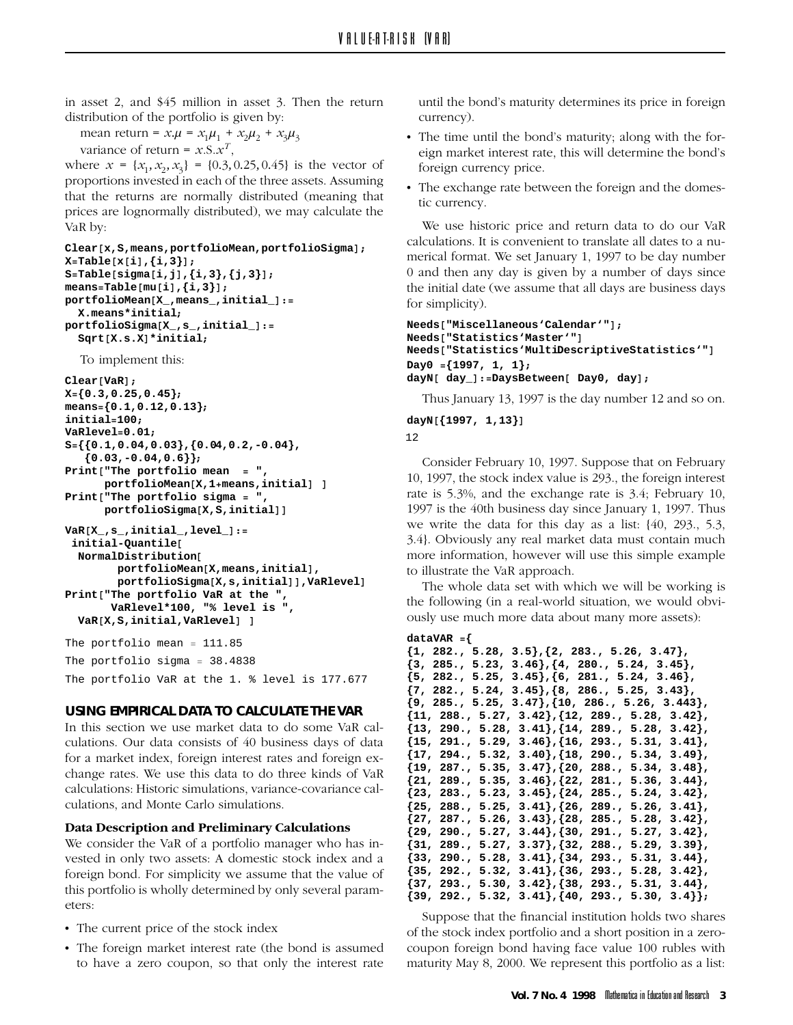in asset 2, and \$45 million in asset 3. Then the return

mean return =  $x.\mu = x_1\mu_1 + x_2\mu_2 + x_3\mu_3$ 

variance of return =  $x \cdot S \cdot x$ ,<br>where  $x = \{x_1, x_2, x_3\} = \{0.3, 0.25, 0.45\}$  is the vector of<br>proportions invested in each of the three assets. Assuming proportions invested in each of the three assets. Assuming that the returns are normally distributed (meaning that prices are lognormally distributed), we may calculate the

```
\sum_{i=1}^{n} x_iClear[x,S,means,portfolioMean,portfolioSigma];
X=Table[x[i],{i,3}];
S=Table[sigma[i,j],{i,3},{j,3}];
means=Table[mu[i],{i,3}];
portfolioMean[X_,means_,initial_]:=
  X.means*initial;
portfolioSigma[X_,s_,initial_]:=
  Sqrt[X.s.X]*initial;
```
To implement this:

```
Clear[VaR];
X={0.3,0.25,0.45};
means={0.1,0.12,0.13};
initial=100;
VaRlevel=0.01;
S={{0.1,0.04,0.03},{0.04,0.2,-0.04},
   {0.03,-0.04,0.6}};
Print["The portfolio mean = ",
      portfolioMean[X,1+means,initial] ]
Print["The portfolio sigma = ",
      portfolioSigma[X,S,initial]]
VaR[X_,s_,initial_,level_]:=
 initial-Quantile[
  NormalDistribution[
        portfolioMean[X,means,initial],
        portfolioSigma[X,s,initial]],VaRlevel]
Print["The portfolio VaR at the ",
       VaRlevel*100, "% level is ",
  VaR[X,S,initial,VaRlevel] ]
The portfolio mean = 111.85
```
The portfolio sigma = 38.4838 The portfolio VaR at the 1. % level is 177.677

# **USING EMPIRICAL DATA TO CALCULATE THE VAR**

culations. Our data consists of 40 business days of data for a market index, foreign interest rates and foreign exchange rates. We use this data to do three kinds of VaR calculations: Historic simulations, variance-covariance calculations, and Monte Carlo simulations.

# Data Description and Preliminary Calculations

**We consider the VaR of a portfolio manager who has in**vested in only two assets: A domestic stock index and a foreign bond. For simplicity we assume that the value of foreign bond. For simplicity we assume that the value of<br>this portfolio is wholly determined by only several paramthis portfolio is wholly determined by only several param-

- 
- The current price of the stock index<br>• The foreign market interest rate (the bond is assumed to have a zero coupon, so that only the interest rate  $t_{\text{max}}$  and  $t_{\text{max}}$  compare, so that only the interest rate

 $\frac{1}{\text{minmax}}$  is seen a maturity determines its price in foreign currency).<br>• The time until the bond's maturity; along with the for-

- eign market interest rate, this will determine the bond's foreign currency price.
- The exchange rate between the foreign and the domestic currency. tic currency.

We use historic price and return data to do our VaR calculations. It is convenient to translate all dates to a numerical format. We set January 1, 1997 to be day number 0 and then any day is given by a number of days since 0 and their any day is given by a number of days since  $\frac{1}{2}$  for simplicity) for simplicity).

```
Needs["Miscellaneous'Calendar'"];
Needs["Statistics'Master'"]
Needs["Statistics'MultiDescriptiveStatistics'"]
Day0 ={1997, 1, 1};
dayN[ day_]:=DaysBetween[ Day0, day];
```
Thus January 13, 1997 is the day number 12 and so on.

**dayN[{1997, 1,13}]**

```
12
```
Consider February 10, 1997. Suppose that on February 10, 1997, the stock index value is 293., the foreign interest rate is  $5.3\%$ , and the exchange rate is  $3.4$ ; February 10, 1997 is the 40th business day since January 1, 1997. Thus we write the data for this day as a list:  $\{40, 293, 5.3, \ldots\}$ 3.4}. Obviously any real market data must contain much more information, however will use this simple example to illustrate the VaR approach.

The whole data set with which we will be working is the following (in a real-world situation, we would obvi- $\frac{1}{2}$  and  $\frac{1}{2}$  real-world more data-about many more assets). ously use much more data about many more assets):

```
dataVAR ={
```

```
{1, 282., 5.28, 3.5},{2, 283., 5.26, 3.47},
{3, 285., 5.23, 3.46},{4, 280., 5.24, 3.45},
{5, 282., 5.25, 3.45},{6, 281., 5.24, 3.46},
{7, 282., 5.24, 3.45},{8, 286., 5.25, 3.43},
{9, 285., 5.25, 3.47},{10, 286., 5.26, 3.443},
{11, 288., 5.27, 3.42},{12, 289., 5.28, 3.42},
{13, 290., 5.28, 3.41},{14, 289., 5.28, 3.42},
{15, 291., 5.29, 3.46},{16, 293., 5.31, 3.41},
{17, 294., 5.32, 3.40},{18, 290., 5.34, 3.49},
{19, 287., 5.35, 3.47},{20, 288., 5.34, 3.48},
{21, 289., 5.35, 3.46},{22, 281., 5.36, 3.44},
{23, 283., 5.23, 3.45},{24, 285., 5.24, 3.42},
{25, 288., 5.25, 3.41},{26, 289., 5.26, 3.41},
{27, 287., 5.26, 3.43},{28, 285., 5.28, 3.42},
{29, 290., 5.27, 3.44},{30, 291., 5.27, 3.42},
{31, 289., 5.27, 3.37},{32, 288., 5.29, 3.39},
{33, 290., 5.28, 3.41},{34, 293., 5.31, 3.44},
{35, 292., 5.32, 3.41},{36, 293., 5.28, 3.42},
{37, 293., 5.30, 3.42},{38, 293., 5.31, 3.44},
{39, 292., 5.32, 3.41},{40, 293., 5.30, 3.4}};
```
Suppose that the financial institution holds two shares of the stock index portfolio and a short position in a zerocoupon foreign bond having face value 100 rubles with maturity May 8, 2000. We represent this portfolio as a list:  $\frac{1}{2}$  May 8, 2000. We represent this portfolio as a list: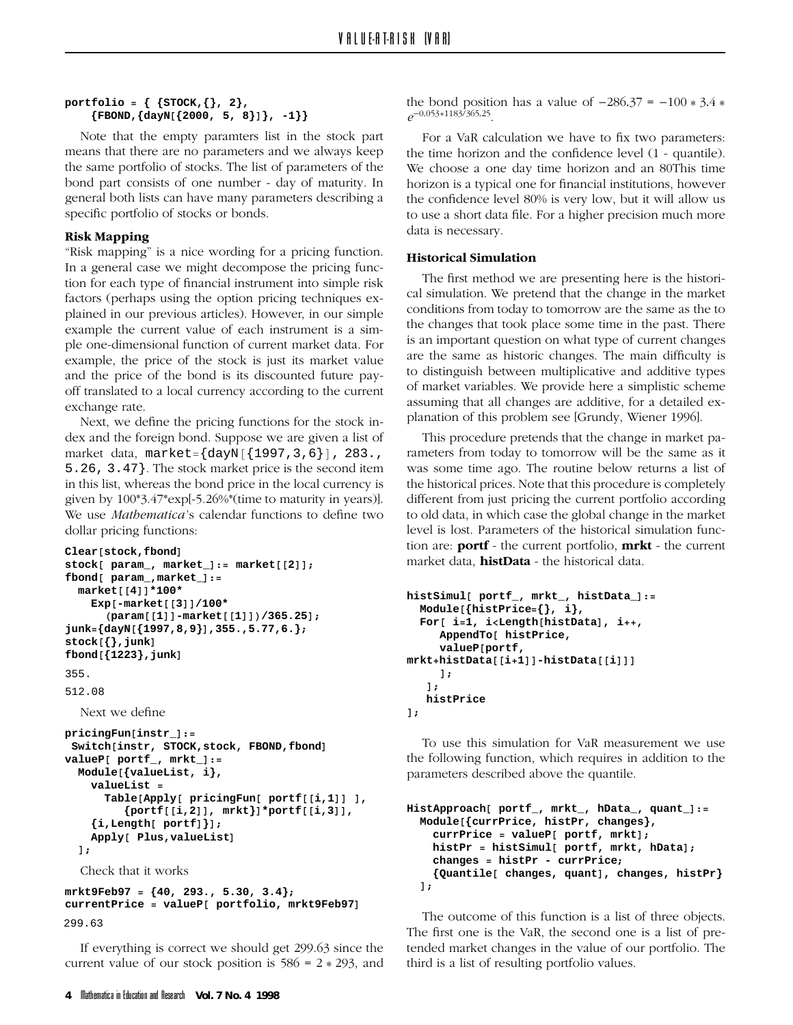# **portfolio = { {STOCK,{}, 2}, {FBOND,{dayN[{2000, 5, 8}]}, -1}}**

Note that the empty paramters list in the stock part means that there are no parameters and we always keep the same portfolio of stocks. The list of parameters of the bond part consists of one number - day of maturity. In general both lists can have many parameters describing a general both lists can have many parameters describing a specific portfolio of stocks or bonds.

**Risk Mapping** is a nice wording for a pricing function. In a general case we might decompose the pricing function for each type of financial instrument into simple risk factors (perhaps using the option pricing techniques explained in our previous articles). However, in our simple example the current value of each instrument is a simple one-dimensional function of current market data. For example, the price of the stock is just its market value. and the price of the bond is its discounted future payand the price of the bond is its discounted future payoff translated to a local currency according to the current

exchange rate.<br>Next, we define the pricing functions for the stock index and the foreign bond. Suppose we are given a list of market data, market= $\{\text{dayN}[\{1997,3,6\}]$ , 283., 5.26, 3.47}. The stock market price is the second item given by  $100*3.47*exp[-5.26\%*$  (time to maturity in years)]. We use *Mathematica's* calendar functions to define two dollar pricing functions to define the functions to define the two defines to define the two defines to define the two defines to define the two defines to define the two defines to define the two defines of two defines of

```
\mathbf{p} is defined functions:
Clear[stock,fbond]
stock[ param_, market_]:= market[[2]];
fbond[ param_,market_]:=
  market[[4]]*100*
    Exp[-market[[3]]/100*
      (param[[1]]-market[[1]])/365.25];
junk={dayN[{1997,8,9}],355.,5.77,6.};
stock[{},junk]
fbond[{1223},junk]
```
355.

512.08

```
Next we define
pricingFun[instr_]:=
 Switch[instr, STOCK,stock, FBOND,fbond]
valueP[ portf_, mrkt_]:=
  Module[{valueList, i},
    valueList =
      Table[Apply[ pricingFun[ portf[[i,1]] ],
         {portf[[i,2]], mrkt}]*portf[[i,3]],
    {i,Length[ portf]}];
    Apply[ Plus,valueList]
  ];
```

```
Check that it works
mrkt9Feb97 = {40, 293., 5.30, 3.4};
currentPrice = valueP[ portfolio, mrkt9Feb97]
299.63
```
If everything is correct we should get 299.63 since the current value of our stock position is  $586 = 2 * 293$ , and current value of our stock position is 586 = 2 + 293, and

the bond position has a value of  $-286.37 = -100 * 3.4 *$ *e*-0*.*053\*1183*/*365*.*25.

the time horizon and the confidence level  $(1 -$  quantile). We choose a one day time horizon and an 80This time horizon is a typical one for financial institutions, however the confidence level 80% is very low, but it will allow us to use a short data file. For a higher precision much more  $\sigma$  is necessary data is necessary.

**Historical Simulation**<br>The first method we are presenting here is the historical simulation. We pretend that the change in the market conditions from today to tomorrow are the same as the to the changes that took place some time in the past. There is an important question on what type of current changes are the same as historic changes. The main difficulty is to distinguish between multiplicative and additive types. of market variables. We provide here a simplistic scheme assuming that all changes are additive, for a detailed explanation of this problem see [Grundy, Wiener 1996].

This procedure pretends that the change in market parameters from today to tomorrow will be the same as it was some time ago. The routine below returns a list of the historical prices. Note that this procedure is completely different from just pricing the current portfolio according to old data, in which case the global change in the market level is lost. Parameters of the historical simulation function are: **portf** - the current portfolio, **mrkt** - the current tion are: **portf** - the current portfolio, **mrkt** - the current market data, **histData** - the historical data.

```
histSimul[ portf_, mrkt_, histData_]:=
  Module[{histPrice={}, i},
  For[ i=1, i<Length[histData], i++,
     AppendTo[ histPrice,
     valueP[portf,
mrkt+histData[[i+1]]-histData[[i]]]
   ];
   ];
histPrice
```
**];**

To use this simulation for VaR measurement we use<br>the following function, which requires in addition to the  $\frac{1}{2}$  the following function, which requires in a  $\frac{1}{2}$  requires to the quantile  $\mathbf{p}$ 

```
HistApproach[ portf_, mrkt_, hData_, quant_]:=
 Module[{currPrice, histPr, changes},
    currPrice = valueP[ portf, mrkt];
    histPr = histSimul[ portf, mrkt, hData];
    changes = histPr - currPrice;
    {Quantile[ changes, quant], changes, histPr}
  \mathbf{1}:
  ];
```
The outcome of this function is a list of three objects.<br>The first one is the VaR, the second one is a list of pretended market changes in the value of our portfolio. The third is a list of resulting portfolio values. third is a list of resulting portfolio values.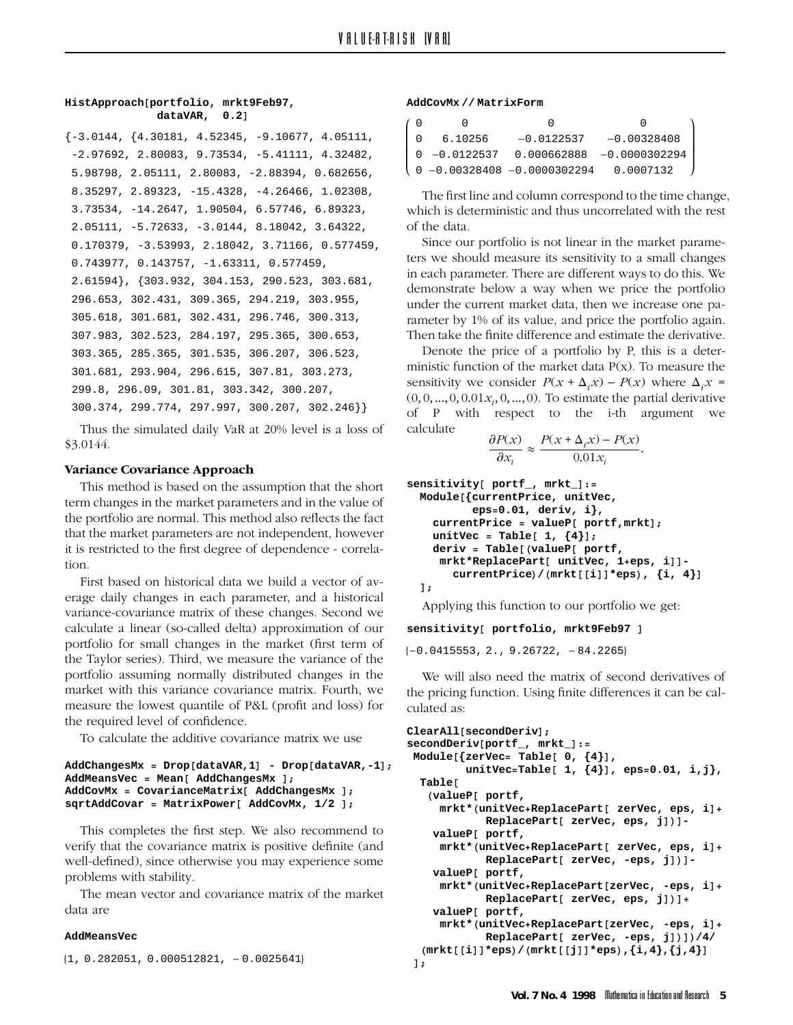# **HistApproach[portfolio, mrkt9Feb97, dataVAR, 0.2]**

```
\{-3.0144, \{4.30181, 4.52345, -9.10677, 4.05111,-2.97692, 2.80083, 9.73534, -5.41111, 4.32482,
5.98798, 2.05111, 2.80083, -2.88394, 0.682656,
8.35297, 2.89323, -15.4328, -4.26466, 1.02308,
3.73534, -14.2647, 1.90504, 6.57746, 6.89323,
2.05111, -5.72633, -3.0144, 8.18042, 3.64322,
0.170379, -3.53993, 2.18042, 3.71166, 0.577459,
0.743977, 0.143757, -1.63311, 0.577459,
2.61594}, {303.932, 304.153, 290.523, 303.681,
296.653, 302.431, 309.365, 294.219, 303.955,
305.618, 301.681, 302.431, 296.746, 300.313,
307.983, 302.523, 284.197, 295.365, 300.653,
303.365, 285.365, 301.535, 306.207, 306.523,
301.681, 293.904, 296.615, 307.81, 303.273,
299.8, 296.09, 301.81, 303.342, 300.207,
300.374, 299.774, 297.997, 300.207, 302.246}}
```
Thus the simulated daily VaR at 20% level is a loss of  $\frac{3}{2}$ .  $\frac{3}{2}$ .  $\frac{3}{2}$ .  $\frac{3}{2}$ .  $\frac{3}{2}$ .  $\frac{3}{2}$ .  $\frac{3}{2}$ .  $\frac{3}{2}$ .  $\frac{3}{2}$ .  $\frac{3}{2}$ .  $\frac{3}{2}$ .  $\frac{3}{2}$ .  $\frac{3}{2}$ .  $\frac{3}{2}$ .  $\frac{3}{2}$ .  $\frac{3}{2}$ .  $\frac{3}{2}$ .  $\frac{3}{2}$ .  $\frac{3}{2}$ .  $\frac{3}{2}$ .

**Variance Covariance Approach** term changes in the market parameters and in the value of the portfolio are normal. This method also reflects the fact that the market parameters are not independent, however that the matrix parameters are not independent, however, it is restricted to the first degree of dependence - correla-

First based on historical data we build a vector of average daily changes in each parameter, and a historical variance-covariance matrix of these changes. Second we calculate a linear (so-called delta) approximation of our portfolio for small changes in the market (first term of the Taylor series). Third, we measure the variance of the portfolio assuming normally distributed changes in the market with this variance covariance matrix. Fourth, we measure the lowest quantile of P&L (profit and loss) for the required level of confidence.

To calculate the additive covariance matrix we use.

```
AddChangesMx = Drop[dataVAR,1] - Drop[dataVAR,-1];
AddMeansVec = Mean[ AddChangesMx ];
AddCovMx = CovarianceMatrix[ AddChangesMx ];
sqrtAddCovar = MatrixPower[ AddCovMx, 1/2 ];
```
This completes the first step. We also recommend to verify that the covariance matrix is positive definite (and well-defined), since otherwise you may experience some problems with stability.

The mean vector and covariance matrix of the market The means vector and covariance matrix of the matrix.<br>The means

# **AddMeansVec**

 ${1, 0.282051, 0.000512821, -0.0025641}$ 

### **AddCovMx // MatrixForm**

| 6                | $\cap$  |                               |               |
|------------------|---------|-------------------------------|---------------|
| $\overline{1}$ 0 | 6.10256 | $-0.0122537$                  | $-0.00328408$ |
|                  |         |                               |               |
|                  |         | ↓ 0 -0.00328408 -0.0000302294 | 0.0007132     |
|                  |         |                               |               |

The first line and column correspond to the time change, which is deterministic and thus uncorrelated with the rest of the data.

ˆ  $\overline{\phantom{a}}$  $\overline{\phantom{a}}$  $\overline{\phantom{a}}$  $\mathbf i$  $\overline{\phantom{a}}$  $\overline{\phantom{a}}$  $\mathbf{\mathbf{I}}$ ˜ ˜

Since our portfolio is not linear in the market parameters we should measure its sensitivity to a small changes in each parameter. There are different ways to do this. We demonstrate below a way when we price the portfolio. under the current market data, then we increase one parameter by 1% of its value, and price the portfolio again. Then take the finite difference and estimate the derivative.

Denote the price of a portfolio by P, this is a deterministic function of the market data  $P(x)$ . To measure the sensitivity we consider  $P(x + \Delta_i x) - P(x)$  where  $\Delta_i x =$  $(0, 0, ..., 0, 0.01x_i, 0, ..., 0)$ . To estimate the partial derivative of P with respect to the i-th argument we

$$
\frac{\partial P(x)}{\partial x_i} \approx \frac{P(x + \Delta_i x) - P(x)}{0.01x_i}.
$$

```
sensitivity[ portf_, mrkt_]:=
 Module[{currentPrice, unitVec,
          eps=0.01, deriv, i},
   currentPrice = valueP[ portf,mrkt];
   unitVec = Table[ 1, {4}];
   deriv = Table[(valueP[ portf,
    mrkt*ReplacePart[ unitVec, 1+eps, i]]-
      currentPrice)/(mrkt[[i]]*eps), {i, 4}]
  ];
```
 $A_{\text{P}}$ 

# **sensitivity[ portfolio, mrkt9Feb97 ]**

 $\{-0.0415553, 2., 9.26722, -84.2265\}$ 

We will also need the matrix of second derivatives of the pricing function. Using finite differences it can be calculated as:

```
ClearAll[secondDeriv];
secondDeriv[portf_, mrkt_]:=
 Module[{zerVec= Table[ 0, {4}],
         unitVec=Table[ 1, {4}], eps=0.01, i,j},
 Table[
   (valueP[ portf,
    mrkt*(unitVec+ReplacePart[ zerVec, eps, i]+
           ReplacePart[ zerVec, eps, j])]-
   valueP[ portf,
    mrkt*(unitVec+ReplacePart[ zerVec, eps, i]+
           ReplacePart[ zerVec, -eps, j])]-
   valueP[ portf,
    mrkt*(unitVec+ReplacePart[zerVec, -eps, i]+
           ReplacePart[ zerVec, eps, j])]+
   valueP[ portf,
    mrkt*(unitVec+ReplacePart[zerVec, -eps, i]+
           ReplacePart[ zerVec, -eps, j])])/4/
(mrkt[[i]]*eps)/(mrkt[[j]]*eps),{i,4},{j,4}]
 ];
```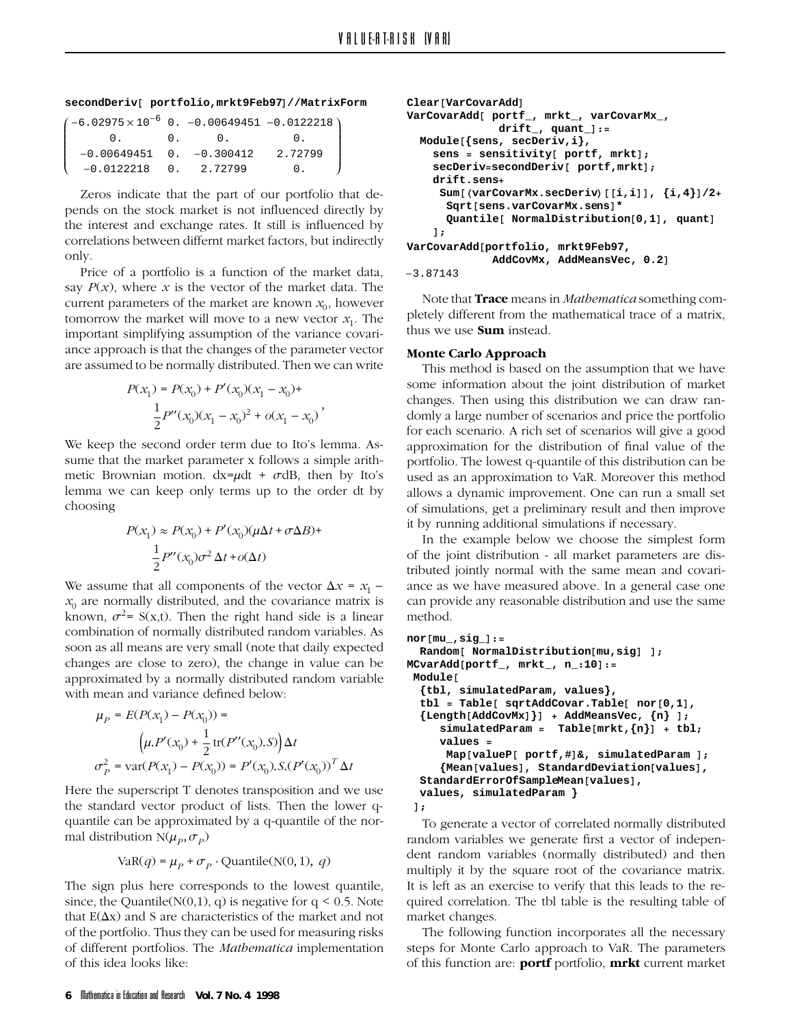```
secondDeriv[ portfolio,mrkt9Feb97]//MatrixForm
```

| $(-6.02975 \times 10^{-6}$ 0. $-0.00649451$ $-0.0122218)$ |     |                  |  |
|-----------------------------------------------------------|-----|------------------|--|
| $\mathbf{0}$ .                                            | 0.0 | $\overline{0}$ . |  |
| $-0.00649451$ 0. $-0.300412$                              |     | 2.72799          |  |
| $-0.0122218$ 0. 2.72799                                   |     | 0.               |  |
|                                                           |     |                  |  |

Zeros indicate that the part of our portfolio that depends on the stock market is not influenced directly by the interest and exchange rates. It still is influenced by the interest and the interest and exchange rates. It indirectly  $\text{cosh}$ only.<br>Price of a portfolio is a function of the market data,

say  $P(x)$ , where x is the vector of the market data. The current parameters of the market are known  $x_0$ , however tomorrow the market will move to a new vector  $x_1$ . The important simplifying assumption of the variance covariance approach is that the changes of the parameter vector  $\frac{1}{100}$  are assumed to be normally distributed. Then we can write are assumed to be normally distributed. Then we can write

$$
P(x_1) = P(x_0) + P'(x_0)(x_1 - x_0) +
$$
  

$$
\frac{1}{2}P''(x_0)(x_1 - x_0)^2 + o(x_1 - x_0)
$$
'

We keep the second order term due to Ito's lemma. Assume that the market parameter x follows a simple arithmetic Brownian motion.  $dx = \mu dt + \sigma dB$ , then by Ito's method brownian motion. The part  $\sim$  and  $\sim$  states  $\frac{1}{2}$  is the by Ito's lemma we can keep only terms up to the order dt by choosing

$$
P(x_1) \approx P(x_0) + P'(x_0)(\mu \Delta t + \sigma \Delta B) +
$$

$$
\frac{1}{2}P''(x_0)\sigma^2 \Delta t + o(\Delta t)
$$

We assume that all components of the vector  $\Delta x = x_1$  –  $x_0$  are normally distributed, and the covariance matrix is known,  $\sigma^2$ = S(x,t). Then the right hand side is a linear combination of normally distributed random variables. As soon as all means are very small (note that daily expected changes are close to zero), the change in value can be approximated by a normally distributed random variable with mean and variance defined below: with mean and variance defined below:

$$
\mu_P = E(P(x_1) - P(x_0)) =
$$
  
\n
$$
\left(\mu P'(x_0) + \frac{1}{2} \text{tr}(P''(x_0).S)\right) \Delta t
$$
  
\n
$$
\sigma_P^2 = \text{var}(P(x_1) - P(x_0)) = P'(x_0).S.(P'(x_0))^T \Delta t
$$

Here the superscript T denotes transposition and we use<br>the standard vector product of lists. Then the lower qquantile can be approximated by a q-quantile of the normal distribution  $N(\mu_p, \sigma_p)$ 

VaR(
$$
q
$$
) =  $\mu_p + \sigma_p \cdot \text{Quantile}(N(0, 1), q)$ 

since, the Quantile( $N(0,1)$ , q) is negative for  $q < 0.5$ . Note that  $E(\Delta x)$  and S are characteristics of the market and not of the portfolio. Thus they can be used for measuring risks of different portfolios. The Mathematica implementation of this idea looks like:

```
Clear[VarCovarAdd]
VarCovarAdd[ portf_, mrkt_, varCovarMx_,
              drift_, quant_]:=
  Module[{sens, secDeriv,i},
    sens = sensitivity[ portf, mrkt];
    secDeriv=secondDeriv[ portf,mrkt];
    drift.sens+
     Sum[(varCovarMx.secDeriv)[[i,i]], {i,4}]/2+
      Sqrt[sens.varCovarMx.sens]*
      Quantile[ NormalDistribution[0,1], quant]
    \mathbf{1}:
];
VarCovarAdd[portfolio, mrkt9Feb97,
              AddCovMx, AddMeansVec, 0.2]
-3.87143
```
Note that **Trace** means in *Mathematica* something comthus we use **Sum** instead. thus we use **Sum** instead.

**Monte Carlo Approach** some information about the joint distribution of market changes. Then using this distribution we can draw randomly a large number of scenarios and price the portfolio for each scenario. A rich set of scenarios will give a good approximation for the distribution of final value of the portfolio. The lowest q-quantile of this distribution can be used as an approximation to VaR. Moreover this method allows a dynamic improvement. One can run a small set of simulations, get a preliminary result and then improve it by running additional simulations if necessary.

In the example below we choose the simplest form of the joint distribution - all market parameters are distributed jointly normal with the same mean and covariance as we have measured above. In a general case one  $\alpha$  and  $\alpha$  and  $\alpha$  are measured above. In a general case of  $\alpha$ provide any reasonable distribution and use the same the same  $\frac{1}{2}$ 

```
nor[mu_,sig_]:=
 Random[ NormalDistribution[mu,sig] ];
MCvarAdd[portf_, mrkt_, n_:10]:=
Module[
  {tbl, simulatedParam, values},
  tbl = Table[ sqrtAddCovar.Table[ nor[0,1],
  {Length[AddCovMx]}] + AddMeansVec, {n} ];
     simulatedParam = Table[mrkt,{n}] + tbl;
     values =
      Map[valueP[ portf,#]&, simulatedParam ];
     {Mean[values], StandardDeviation[values],
  StandardErrorOfSampleMean[values],
  values, simulatedParam }
 1:<br>To generate a vector of correlated normally distributed
```
random variables we generate first a vector of independent random variables (normally distributed) and then multiply it by the square root of the covariance matrix. It is left as an exercise to verify that this leads to the required correlation. The tbl table is the resulting table of market changes.

The following function incorporates all the necessary steps for Monte Carlo approach to VaR. The parameters of this function are: **portf** portfolio, **mrkt** current market of this function are: **portf** portfolio, **mrkt** current market